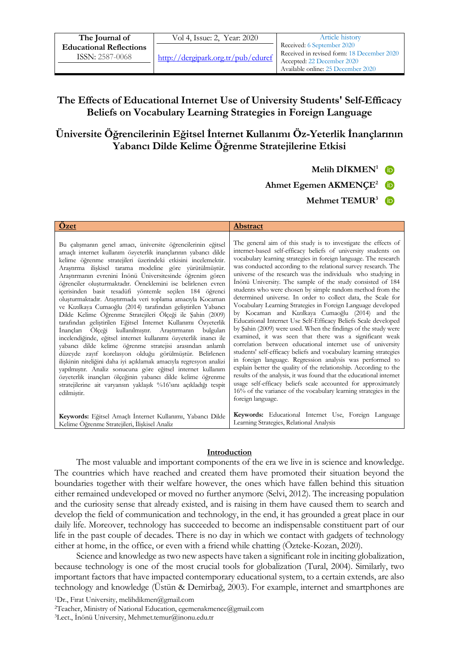| The Journal of                 | Vol 4, Issue: 2, Year: 2020          | Article history                                                          |
|--------------------------------|--------------------------------------|--------------------------------------------------------------------------|
| <b>Educational Reflections</b> |                                      | Received: 6 September 2020<br>Received in revised form: 18 December 2020 |
| ISSN: 2587-0068                | http://decgipark.org.tr/public/duref | Accepted: 22 December 2020                                               |
|                                |                                      | Available online: 25 December 2020                                       |

# **The Effects of Educational Internet Use of University Students' Self-Efficacy Beliefs on Vocabulary Learning Strategies in Foreign Language**

# **Üniversite Öğrencilerinin Eğitsel İnternet Kullanımı Öz-Yeterlik İnançlarının Yabancı Dilde Kelime Öğrenme Stratejilerine Etkisi**

**Melih DİKMEN<sup>1</sup>**

**Ahmet Egemen AKMENÇE<sup>2</sup>**

**Mehmet TEMUR<sup>3</sup>**

| Ozet                                                                                                                                                                                                                                                                                                                                                                                                                                                                                                                                                                                                                                                                                                                                                                                                                                                                                                                                                                                                                                                                                                                                                                                                                                                         | <b>Abstract</b>                                                                                                                                                                                                                                                                                                                                                                                                                                                                                                                                                                                                                                                                                                                                                                                                                                                                                                                                                                                                                                                                                                                                                                                                                                                                                                                                            |
|--------------------------------------------------------------------------------------------------------------------------------------------------------------------------------------------------------------------------------------------------------------------------------------------------------------------------------------------------------------------------------------------------------------------------------------------------------------------------------------------------------------------------------------------------------------------------------------------------------------------------------------------------------------------------------------------------------------------------------------------------------------------------------------------------------------------------------------------------------------------------------------------------------------------------------------------------------------------------------------------------------------------------------------------------------------------------------------------------------------------------------------------------------------------------------------------------------------------------------------------------------------|------------------------------------------------------------------------------------------------------------------------------------------------------------------------------------------------------------------------------------------------------------------------------------------------------------------------------------------------------------------------------------------------------------------------------------------------------------------------------------------------------------------------------------------------------------------------------------------------------------------------------------------------------------------------------------------------------------------------------------------------------------------------------------------------------------------------------------------------------------------------------------------------------------------------------------------------------------------------------------------------------------------------------------------------------------------------------------------------------------------------------------------------------------------------------------------------------------------------------------------------------------------------------------------------------------------------------------------------------------|
| Bu çalışmanın genel amacı, üniversite öğrencilerinin eğitsel<br>amaçlı internet kullanım özyeterlik inançlarının yabancı dilde<br>kelime öğrenme stratejileri üzerindeki etkisini incelemektir.<br>Araştırma ilişkisel tarama modeline göre yürütülmüştür.<br>Araştırmanın evrenini İnönü Üniversitesinde öğrenim gören<br>öğrenciler oluşturmaktadır. Örneklemini ise belirlenen evren<br>içerisinden basit tesadüfi yöntemle seçilen 184 öğrenci<br>oluşturmaktadır. Araştırmada veri toplama amacıyla Kocaman<br>ve Kızılkaya Cumaoğlu (2014) tarafından geliştirilen Yabancı<br>Dilde Kelime Öğrenme Stratejileri Ölçeği ile Şahin (2009)<br>tarafından geliştirilen Eğitsel İnternet Kullanımı Özyeterlik<br>İnançları Ölçeği kullanılmıştır. Araştırmanın bulguları<br>incelendiğinde, eğitsel internet kullanımı özyeterlik inancı ile<br>yabancı dilde kelime öğrenme stratejisi arasından anlamlı<br>düzeyde zayıf korelasyon olduğu görülmüştür. Belirlenen<br>ilişkinin niteliğini daha iyi açıklamak amacıyla regresyon analizi<br>yapılmıştır. Analiz sonucuna göre eğitsel internet kullanım<br>özyeterlik inançları ölçeğinin yabancı dilde kelime öğrenme<br>stratejilerine ait varyansın yaklaşık %16'sını açıkladığı tespit<br>edilmiştir. | The general aim of this study is to investigate the effects of<br>internet-based self-efficacy beliefs of university students on<br>vocabulary learning strategies in foreign language. The research<br>was conducted according to the relational survey research. The<br>universe of the research was the individuals who studying in<br>Inonü University. The sample of the study consisted of 184<br>students who were chosen by simple random method from the<br>determined universe. In order to collect data, the Scale for<br>Vocabulary Learning Strategies in Foreign Language developed<br>by Kocaman and Kızılkaya Cumaoğlu (2014) and the<br>Educational Internet Use Self-Efficacy Beliefs Scale developed<br>by Şahin (2009) were used. When the findings of the study were<br>examined, it was seen that there was a significant weak<br>correlation between educational internet use of university<br>students' self-efficacy beliefs and vocabulary learning strategies<br>in foreign language. Regression analysis was performed to<br>explain better the quality of the relationship. According to the<br>results of the analysis, it was found that the educational internet<br>usage self-efficacy beliefs scale accounted for approximately<br>16% of the variance of the vocabulary learning strategies in the<br>foreign language. |
| Keywords: Eğitsel Amaçlı İnternet Kullanımı, Yabancı Dilde<br>Kelime Öğrenme Stratejileri, İlişkisel Analiz                                                                                                                                                                                                                                                                                                                                                                                                                                                                                                                                                                                                                                                                                                                                                                                                                                                                                                                                                                                                                                                                                                                                                  | Keywords: Educational Internet Use, Foreign Language<br>Learning Strategies, Relational Analysis                                                                                                                                                                                                                                                                                                                                                                                                                                                                                                                                                                                                                                                                                                                                                                                                                                                                                                                                                                                                                                                                                                                                                                                                                                                           |

### **Introduction**

The most valuable and important components of the era we live in is science and knowledge. The countries which have reached and created them have promoted their situation beyond the boundaries together with their welfare however, the ones which have fallen behind this situation either remained undeveloped or moved no further anymore (Selvi, 2012). The increasing population and the curiosity sense that already existed, and is raising in them have caused them to search and develop the field of communication and technology, in the end, it has grounded a great place in our daily life. Moreover, technology has succeeded to become an indispensable constituent part of our life in the past couple of decades. There is no day in which we contact with gadgets of technology either at home, in the office, or even with a friend while chatting (Özteke-Kozan, 2020).

Science and knowledge as two new aspects have taken a significant role in inciting globalization, because technology is one of the most crucial tools for globalization (Tural, 2004). Similarly, two important factors that have impacted contemporary educational system, to a certain extends, are also technology and knowledge (Üstün & Demirbağ, 2003). For example, internet and smartphones are

<sup>1</sup>Dr., Fırat University, melihdikmen@gmail.com

<sup>2</sup>Teacher, Ministry of National Education, egemenakmence@gmail.com <sup>3</sup>Lect., İnönü University, Mehmet.temur@inonu.edu.tr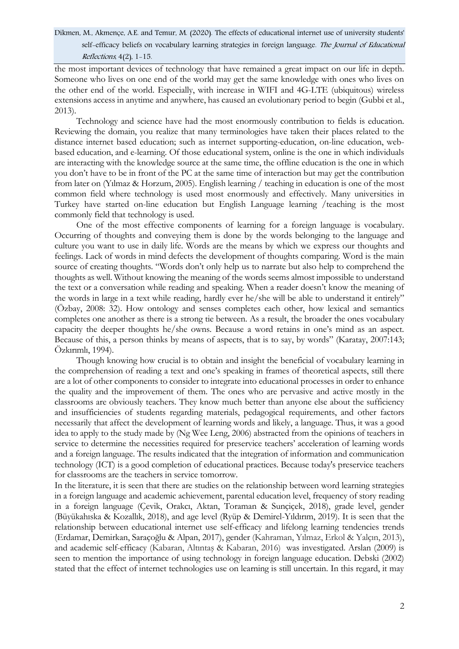the most important devices of technology that have remained a great impact on our life in depth. Someone who lives on one end of the world may get the same knowledge with ones who lives on the other end of the world. Especially, with increase in WIFI and 4G-LTE (ubiquitous) wireless extensions access in anytime and anywhere, has caused an evolutionary period to begin (Gubbi et al., 2013).

Technology and science have had the most enormously contribution to fields is education. Reviewing the domain, you realize that many terminologies have taken their places related to the distance internet based education; such as internet supporting-education, on-line education, webbased education, and e-learning. Of those educational system, online is the one in which individuals are interacting with the knowledge source at the same time, the offline education is the one in which you don't have to be in front of the PC at the same time of interaction but may get the contribution from later on (Yılmaz & Horzum, 2005). English learning / teaching in education is one of the most common field where technology is used most enormously and effectively. Many universities in Turkey have started on-line education but English Language learning /teaching is the most commonly field that technology is used.

One of the most effective components of learning for a foreign language is vocabulary. Occurring of thoughts and conveying them is done by the words belonging to the language and culture you want to use in daily life. Words are the means by which we express our thoughts and feelings. Lack of words in mind defects the development of thoughts comparing. Word is the main source of creating thoughts. "Words don't only help us to narrate but also help to comprehend the thoughts as well. Without knowing the meaning of the words seems almost impossible to understand the text or a conversation while reading and speaking. When a reader doesn't know the meaning of the words in large in a text while reading, hardly ever he/she will be able to understand it entirely" (Özbay, 2008: 32). How ontology and senses completes each other, how lexical and semantics completes one another as there is a strong tie between. As a result, the broader the ones vocabulary capacity the deeper thoughts he/she owns. Because a word retains in one's mind as an aspect. Because of this, a person thinks by means of aspects, that is to say, by words" (Karatay, 2007:143; Özkırımlı, 1994).

Though knowing how crucial is to obtain and insight the beneficial of vocabulary learning in the comprehension of reading a text and one's speaking in frames of theoretical aspects, still there are a lot of other components to consider to integrate into educational processes in order to enhance the quality and the improvement of them. The ones who are pervasive and active mostly in the classrooms are obviously teachers. They know much better than anyone else about the sufficiency and insufficiencies of students regarding materials, pedagogical requirements, and other factors necessarily that affect the development of learning words and likely, a language. Thus, it was a good idea to apply to the study made by (Ng Wee Leng, 2006) abstracted from the opinions of teachers in service to determine the necessities required for preservice teachers' acceleration of learning words and a foreign language. The results indicated that the integration of information and communication technology (ICT) is a good completion of educational practices. Because today's preservice teachers for classrooms are the teachers in service tomorrow.

In the literature, it is seen that there are studies on the relationship between word learning strategies in a foreign language and academic achievement, parental education level, frequency of story reading in a foreign language (Çevik, Orakcı, Aktan, Toraman & Sunçiçek, 2018), grade level, gender (Büyükahıska & Kozallık, 2018), and age level (Ryüp & Demirel-Yıldırım, 2019). It is seen that the relationship between educational internet use self-efficacy and lifelong learning tendencies trends (Erdamar, Demirkan, Saraçoğlu & Alpan, 2017), gender (Kahraman, Yılmaz, Erkol & Yalçın, 2013), and academic self-efficacy (Kabaran, Altıntaş & Kabaran, 2016) was investigated. Arslan (2009) is seen to mention the importance of using technology in foreign language education. Debski (2002) stated that the effect of internet technologies use on learning is still uncertain. In this regard, it may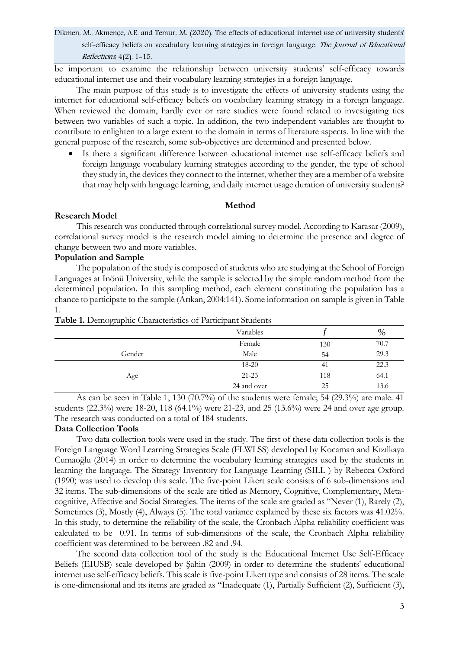be important to examine the relationship between university students' self-efficacy towards educational internet use and their vocabulary learning strategies in a foreign language.

The main purpose of this study is to investigate the effects of university students using the internet for educational self-efficacy beliefs on vocabulary learning strategy in a foreign language. When reviewed the domain, hardly ever or rare studies were found related to investigating ties between two variables of such a topic. In addition, the two independent variables are thought to contribute to enlighten to a large extent to the domain in terms of literature aspects. In line with the general purpose of the research, some sub-objectives are determined and presented below.

 Is there a significant difference between educational internet use self-efficacy beliefs and foreign language vocabulary learning strategies according to the gender, the type of school they study in, the devices they connect to the internet, whether they are a member of a website that may help with language learning, and daily internet usage duration of university students?

### **Method**

### **Research Model**

This research was conducted through correlational survey model. According to Karasar (2009), correlational survey model is the research model aiming to determine the presence and degree of change between two and more variables.

## **Population and Sample**

The population of the study is composed of students who are studying at the School of Foreign Languages at İnönü University, while the sample is selected by the simple random method from the determined population. In this sampling method, each element constituting the population has a chance to participate to the sample (Arıkan, 2004:141). Some information on sample is given in Table 1.

|        | Variables   |     | %    |
|--------|-------------|-----|------|
|        | Female      | 130 | 70.7 |
| Gender | Male        | 54  | 29.3 |
|        | $18 - 20$   | -41 | 22.3 |
| Age    | $21 - 23$   | 118 | 64.1 |
|        | 24 and over | 25  | 13.6 |

**Table 1.** Demographic Characteristics of Participant Students

As can be seen in Table 1, 130 (70.7%) of the students were female; 54 (29.3%) are male. 41 students (22.3%) were 18-20, 118 (64.1%) were 21-23, and 25 (13.6%) were 24 and over age group. The research was conducted on a total of 184 students.

## **Data Collection Tools**

Two data collection tools were used in the study. The first of these data collection tools is the Foreign Language Word Learning Strategies Scale (FLWLSS) developed by Kocaman and Kızılkaya Cumaoğlu (2014) in order to determine the vocabulary learning strategies used by the students in learning the language. The Strategy Inventory for Language Learning (SILL ) by Rebecca Oxford (1990) was used to develop this scale. The five-point Likert scale consists of 6 sub-dimensions and 32 items. The sub-dimensions of the scale are titled as Memory, Cognitive, Complementary, Metacognitive, Affective and Social Strategies. The items of the scale are graded as "Never (1), Rarely (2), Sometimes (3), Mostly (4), Always (5). The total variance explained by these six factors was 41.02%. In this study, to determine the reliability of the scale, the Cronbach Alpha reliability coefficient was calculated to be 0.91. In terms of sub-dimensions of the scale, the Cronbach Alpha reliability coefficient was determined to be between .82 and .94.

The second data collection tool of the study is the Educational Internet Use Self-Efficacy Beliefs (EIUSB) scale developed by Şahin (2009) in order to determine the students' educational internet use self-efficacy beliefs. This scale is five-point Likert type and consists of 28 items. The scale is one-dimensional and its items are graded as "Inadequate (1), Partially Sufficient (2), Sufficient (3),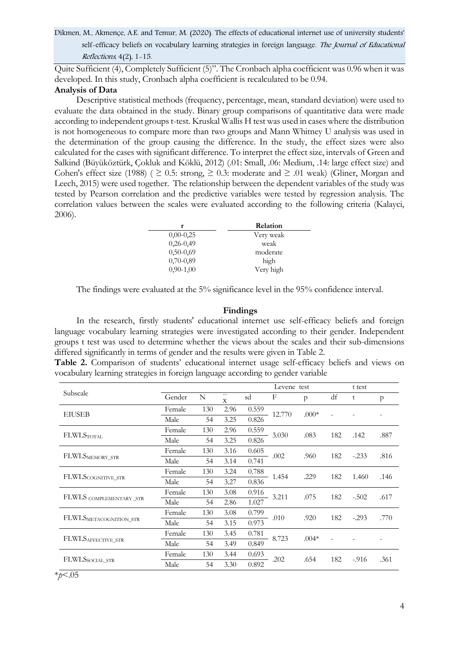Quite Sufficient (4), Completely Sufficient (5)". The Cronbach alpha coefficient was 0.96 when it was developed. In this study, Cronbach alpha coefficient is recalculated to be 0.94.

## **Analysis of Data**

Descriptive statistical methods (frequency, percentage, mean, standard deviation) were used to evaluate the data obtained in the study. Binary group comparisons of quantitative data were made according to independent groups t-test. Kruskal Wallis H test was used in cases where the distribution is not homogeneous to compare more than two groups and Mann Whitney U analysis was used in the determination of the group causing the difference. In the study, the effect sizes were also calculated for the cases with significant difference. To interpret the effect size, intervals of Green and Salkind (Büyüköztürk, Çokluk and Köklü, 2012) (.01: Small, .06: Medium, .14: large effect size) and Cohen's effect size (1988) (  $\geq$  0.5: strong,  $\geq$  0.3: moderate and  $\geq$  .01 weak) (Gliner, Morgan and Leech, 2015) were used together. The relationship between the dependent variables of the study was tested by Pearson correlation and the predictive variables were tested by regression analysis. The correlation values between the scales were evaluated according to the following criteria (Kalayci, 2006).

|             | Relation  |
|-------------|-----------|
| $0,00-0,25$ | Very weak |
| $0,26-0,49$ | weak      |
| $0,50-0,69$ | moderate  |
| $0,70-0,89$ | high      |
| $0,90-1,00$ | Very high |

The findings were evaluated at the 5% significance level in the 95% confidence interval.

### **Findings**

In the research, firstly students' educational internet use self-efficacy beliefs and foreign language vocabulary learning strategies were investigated according to their gender. Independent groups t test was used to determine whether the views about the scales and their sub-dimensions differed significantly in terms of gender and the results were given in Table 2.

**Table 2.** Comparison of students' educational internet usage self-efficacy beliefs and views on vocabulary learning strategies in foreign language according to gender variable

|                         |        |     |              |       | Levene test |         |     | t test  |              |
|-------------------------|--------|-----|--------------|-------|-------------|---------|-----|---------|--------------|
| Subscale                | Gender | N   | $\mathbf{X}$ | sd    | F           | p       | df  | t       | $\mathsf{p}$ |
| <b>EIUSEB</b>           | Female | 130 | 2.96         | 0.559 | 12.770      | $.000*$ |     |         |              |
|                         | Male   | 54  | 3.25         | 0.826 |             |         |     |         |              |
|                         | Female | 130 | 2.96         | 0.559 |             |         |     |         |              |
| <b>FLWLSTOTAL</b>       | Male   | 54  | 3.25         | 0.826 | 3.030       | .083    | 182 | .142    | .887         |
|                         | Female | 130 | 3.16         | 0.605 | .002        | .960    |     | $-.233$ | .816         |
| FLWLSMEMORY_STR         | Male   | 54  | 3.14         | 0.741 |             |         | 182 |         |              |
|                         | Female | 130 | 3.24         | 0.788 | 1.454       | .229    | 182 | 1.460   | .146         |
| FLWLSCOGNITIVE_STR      | Male   | 54  | 3.27         | 0.836 |             |         |     |         |              |
|                         | Female | 130 | 3.08         | 0.916 | 3.211       | .075    | 182 | $-.502$ | .617         |
| FLWLS COMPLEMENTARY_STR | Male   | 54  | 2.86         | 1.027 |             |         |     |         |              |
|                         | Female | 130 | 3.08         | 0.799 | .010        | .920    | 182 | $-.293$ |              |
| FLWLSMETACOGNITION_STR  | Male   | 54  | 3.15         | 0.973 |             |         |     |         | .770         |
|                         | Female | 130 | 3.45         | 0.781 | 8.723       | $.004*$ |     |         |              |
| FLWLSAFFECTIVE_STR      | Male   | 54  | 3.49         | 0.849 |             |         |     |         |              |
|                         | Female | 130 | 3.44         | 0.693 |             | .654    |     |         |              |
| FLWLSSOCIAL_STR         | Male   | 54  | 3.30         | 0.892 | .202        |         | 182 | $-916$  | .361         |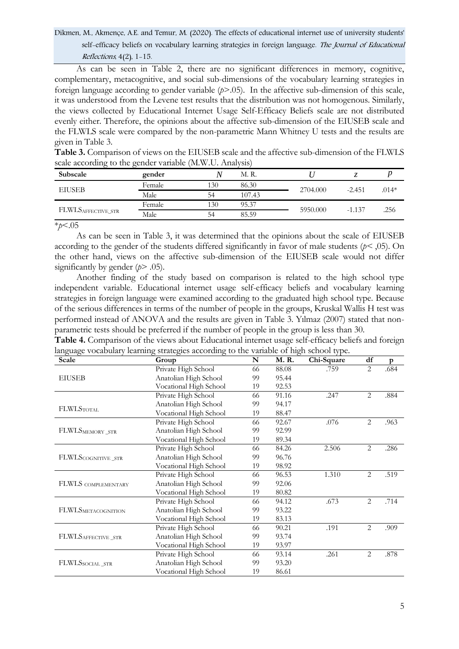As can be seen in Table 2, there are no significant differences in memory, cognitive, complementary, metacognitive, and social sub-dimensions of the vocabulary learning strategies in foreign language according to gender variable (*p*>.05). In the affective sub-dimension of this scale, it was understood from the Levene test results that the distribution was not homogenous. Similarly, the views collected by Educational Internet Usage Self-Efficacy Beliefs scale are not distributed evenly either. Therefore, the opinions about the affective sub-dimension of the EIUSEB scale and the FLWLS scale were compared by the non-parametric Mann Whitney U tests and the results are given in Table 3.

| Subscale                       | gender |     | M. R.  |          |          |         |
|--------------------------------|--------|-----|--------|----------|----------|---------|
| <b>EIUSEB</b>                  | Female | 130 | 86.30  | 2704.000 | $-2.451$ | $.014*$ |
|                                | Male   | 54  | 107.43 |          |          |         |
|                                | Female | 130 | 95.37  | 5950,000 | $-1.137$ | .256    |
| FLWLS <sub>AFFECTIVE_STR</sub> | Male   | 54  | 85.59  |          |          |         |

**Table 3.** Comparison of views on the EIUSEB scale and the affective sub-dimension of the FLWLS scale according to the gender variable (M.W.U. Analysis)

\**p*<.05

As can be seen in Table 3, it was determined that the opinions about the scale of EIUSEB according to the gender of the students differed significantly in favor of male students (*p<* ,05). On the other hand, views on the affective sub-dimension of the EIUSEB scale would not differ significantly by gender ( $p > .05$ ).

Another finding of the study based on comparison is related to the high school type independent variable. Educational internet usage self-efficacy beliefs and vocabulary learning strategies in foreign language were examined according to the graduated high school type. Because of the serious differences in terms of the number of people in the groups, Kruskal Wallis H test was performed instead of ANOVA and the results are given in Table 3. Yılmaz (2007) stated that nonparametric tests should be preferred if the number of people in the group is less than 30.

| Table 4. Comparison of the views about Educational internet usage self-efficacy beliefs and foreign |  |  |  |
|-----------------------------------------------------------------------------------------------------|--|--|--|
| language vocabulary learning strategies according to the variable of high school type.              |  |  |  |

| $\circ$<br>$\circ$<br>Scale        | 0<br>O<br>Group        | $\mathbf N$ | $\circ$<br>M.R. | Chi-Square | $\mathrm{d}\mathrm{f}$ | p    |
|------------------------------------|------------------------|-------------|-----------------|------------|------------------------|------|
|                                    | Private High School    | 66          | 88.08           | .759       | 2                      | .684 |
| <b>EIUSEB</b>                      | Anatolian High School  | 99          | 95.44           |            |                        |      |
|                                    | Vocational High School | 19          | 92.53           |            |                        |      |
|                                    | Private High School    | 66          | 91.16           | .247       | $\mathbf{2}$           | .884 |
|                                    | Anatolian High School  | 99          | 94.17           |            |                        |      |
| <b>FLWLSTOTAL</b>                  | Vocational High School | 19          | 88.47           |            |                        |      |
|                                    | Private High School    | 66          | 92.67           | .076       | $\overline{2}$         | .963 |
| FLWLSMEMORY_STR                    | Anatolian High School  | 99          | 92.99           |            |                        |      |
|                                    | Vocational High School | 19          | 89.34           |            |                        |      |
|                                    | Private High School    | 66          | 84.26           | 2.506      | 2                      | .286 |
| FLWLSCOGNITIVE_STR                 | Anatolian High School  | 99          | 96.76           |            |                        |      |
|                                    | Vocational High School | 19          | 98.92           |            |                        |      |
|                                    | Private High School    | 66          | 96.53           | 1.310      | 2                      | .519 |
| FLWLS COMPLEMENTARY                | Anatolian High School  | 99          | 92.06           |            |                        |      |
|                                    | Vocational High School | 19          | 80.82           |            |                        |      |
|                                    | Private High School    | 66          | 94.12           | .673       | 2                      | .714 |
| FLWLSMETACOGNITION                 | Anatolian High School  | 99          | 93.22           |            |                        |      |
|                                    | Vocational High School | 19          | 83.13           |            |                        |      |
|                                    | Private High School    | 66          | 90.21           | .191       | 2                      | .909 |
| ${\rm FLWLS}_{\rm AFFECTIVE\_STR}$ | Anatolian High School  | 99          | 93.74           |            |                        |      |
|                                    | Vocational High School | 19          | 93.97           |            |                        |      |
|                                    | Private High School    | 66          | 93.14           | .261       | $\overline{2}$         | .878 |
| FLWLSsocial_STR                    | Anatolian High School  | 99          | 93.20           |            |                        |      |
|                                    | Vocational High School | 19          | 86.61           |            |                        |      |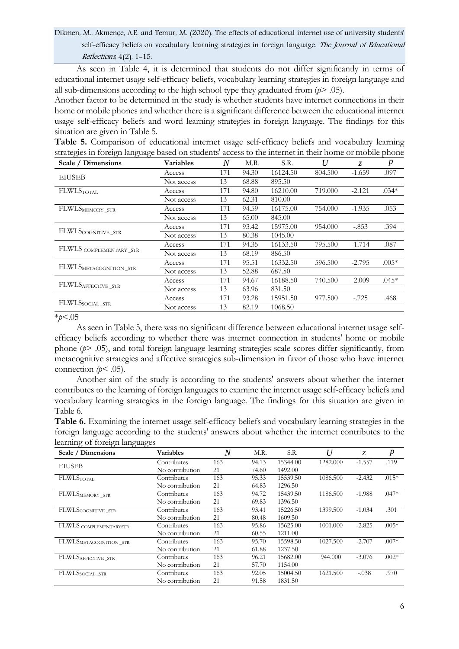Dikmen, M., Akmençe, A.E. and Temur, M. (2020). The effects of educational internet use of university students' self-efficacy beliefs on vocabulary learning strategies in foreign language. The Journal of Educational Reflections, 4(2), 1-15.

As seen in Table 4, it is determined that students do not differ significantly in terms of educational internet usage self-efficacy beliefs, vocabulary learning strategies in foreign language and all sub-dimensions according to the high school type they graduated from  $(p > .05)$ .

Another factor to be determined in the study is whether students have internet connections in their home or mobile phones and whether there is a significant difference between the educational internet usage self-efficacy beliefs and word learning strategies in foreign language. The findings for this situation are given in Table 5.

**Table 5.** Comparison of educational internet usage self-efficacy beliefs and vocabulary learning strategies in foreign language based on students' access to the internet in their home or mobile phone

| Scale / Dimensions      | Variables  | N   | M.R.  | S.R.     | U       | Z.       | $\boldsymbol{p}$ |
|-------------------------|------------|-----|-------|----------|---------|----------|------------------|
| <b>EIUSEB</b>           | Access     | 171 | 94.30 | 16124.50 | 804.500 | $-1.659$ | .097             |
|                         | Not access | 13  | 68.88 | 895.50   |         |          |                  |
| <b>FLWLSTOTAL</b>       | Access     | 171 | 94.80 | 16210.00 | 719.000 | $-2.121$ | $.034*$          |
|                         | Not access | 13  | 62.31 | 810.00   |         |          |                  |
| FLWLSMEMORY_STR         | Access     | 171 | 94.59 | 16175.00 | 754.000 | $-1.935$ | .053             |
|                         | Not access | 13  | 65.00 | 845.00   |         |          |                  |
| FLWLSCOGNITIVE_STR      | Access     | 171 | 93.42 | 15975.00 | 954.000 | $-.853$  | .394             |
|                         | Not access | 13  | 80.38 | 1045.00  |         |          |                  |
|                         | Access     | 171 | 94.35 | 16133.50 | 795.500 | $-1.714$ | .087             |
| FLWLS COMPLEMENTARY_STR | Not access | 13  | 68.19 | 886.50   |         |          |                  |
|                         | Access     | 171 | 95.51 | 16332.50 | 596.500 | $-2.795$ | $.005*$          |
| FLWLSMETACOGNITION_STR  | Not access | 13  | 52.88 | 687.50   |         |          |                  |
|                         | Access     | 171 | 94.67 | 16188.50 | 740.500 | $-2.009$ | $.045*$          |
| FLWLSAFFECTIVE_STR      | Not access | 13  | 63.96 | 831.50   |         |          |                  |
|                         | Access     | 171 | 93.28 | 15951.50 | 977.500 | $-.725$  | .468             |
| FLWLSSOCIAL_STR         | Not access | 13  | 82.19 | 1068.50  |         |          |                  |

#### \**p*<.05

As seen in Table 5, there was no significant difference between educational internet usage selfefficacy beliefs according to whether there was internet connection in students' home or mobile phone (*p*> .05), and total foreign language learning strategies scale scores differ significantly, from metacognitive strategies and affective strategies sub-dimension in favor of those who have internet connection  $(p<.05)$ .

Another aim of the study is according to the students' answers about whether the internet contributes to the learning of foreign languages to examine the internet usage self-efficacy beliefs and vocabulary learning strategies in the foreign language. The findings for this situation are given in Table 6.

**Table 6.** Examining the internet usage self-efficacy beliefs and vocabulary learning strategies in the foreign language according to the students' answers about whether the internet contributes to the learning of foreign languages

| Scale / Dimensions     | Variables       | N   | M.R.  | S.R.     | U        | Z.       | $\boldsymbol{p}$ |
|------------------------|-----------------|-----|-------|----------|----------|----------|------------------|
|                        | Contributes     | 163 | 94.13 | 15344.00 | 1282.000 | $-1.557$ | .119             |
| EIUSEB                 | No contribution | 21  | 74.60 | 1492.00  |          |          |                  |
| FLWLSTOTAL             | Contributes     | 163 | 95.33 | 15539.50 | 1086.500 | $-2.432$ | $.015*$          |
|                        | No contribution | 21  | 64.83 | 1296.50  |          |          |                  |
| FLWLSMEMORY_STR        | Contributes     | 163 | 94.72 | 15439.50 | 1186.500 | $-1.988$ | $.047*$          |
|                        | No contribution | 21  | 69.83 | 1396.50  |          |          |                  |
| FLWLSCOGNITIVE_STR     | Contributes     | 163 | 93.41 | 15226.50 | 1399.500 | $-1.034$ | .301             |
|                        | No contribution | 21  | 80.48 | 1609.50  |          |          |                  |
| FLWLS COMPLEMENTARYSTR | Contributes     | 163 | 95.86 | 15625.00 | 1001.000 | $-2.825$ | $.005*$          |
|                        | No contribution | 21  | 60.55 | 1211.00  |          |          |                  |
| FLWLSMETACOGNITION_STR | Contributes     | 163 | 95.70 | 15598.50 | 1027.500 | $-2.707$ | $.007*$          |
|                        | No contribution | 21  | 61.88 | 1237.50  |          |          |                  |
| FLWLSAFFECTIVE_STR     | Contributes     | 163 | 96.21 | 15682.00 | 944.000  | $-3.076$ | $.002*$          |
|                        | No contribution | 21  | 57.70 | 1154.00  |          |          |                  |
| FLWLSSOCIAL_STR        | Contributes     | 163 | 92.05 | 15004.50 | 1621.500 | $-.038$  | .970             |
|                        | No contribution | 21  | 91.58 | 1831.50  |          |          |                  |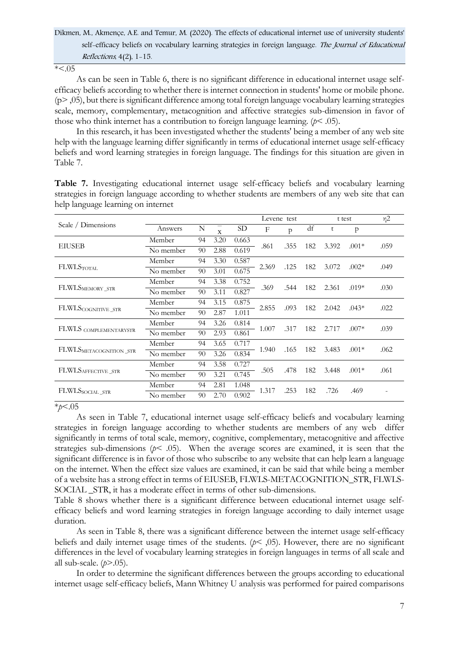$* < 0.05$ 

As can be seen in Table 6, there is no significant difference in educational internet usage selfefficacy beliefs according to whether there is internet connection in students' home or mobile phone.  $(p>$ ,05), but there is significant difference among total foreign language vocabulary learning strategies scale, memory, complementary, metacognition and affective strategies sub-dimension in favor of those who think internet has a contribution to foreign language learning. (*p*< .05).

In this research, it has been investigated whether the students' being a member of any web site help with the language learning differ significantly in terms of educational internet usage self-efficacy beliefs and word learning strategies in foreign language. The findings for this situation are given in Table 7.

|                                 |           |    |              |       |       | Levene test  |     | t test |              | $\eta$ 2 |
|---------------------------------|-----------|----|--------------|-------|-------|--------------|-----|--------|--------------|----------|
| Scale / Dimensions              | Answers   | N  | $\mathbf{x}$ | SD    | F     | $\mathsf{p}$ | df  | t      | $\mathbf{p}$ |          |
|                                 | Member    | 94 | 3.20         | 0.663 |       |              |     |        |              |          |
| <b>EIUSEB</b>                   | No member | 90 | 2.88         | 0.619 | .861  | .355         | 182 | 3.392  | $.001*$      | .059     |
|                                 | Member    | 94 | 3.30         | 0.587 |       |              |     |        |              |          |
| <b>FLWLSTOTAL</b>               | No member | 90 | 3.01         | 0.675 | 2.369 | .125         | 182 | 3.072  | $.002*$      | .049     |
| ${\rm FLWLS}_{\rm MEMORY\_STR}$ | Member    | 94 | 3.38         | 0.752 |       |              |     | 2.361  | $.019*$      |          |
|                                 | No member | 90 | 3.11         | 0.827 | .369  | .544         | 182 |        |              | .030     |
|                                 | Member    | 94 | 3.15         | 0.875 |       |              |     | 2.042  | $.043*$      |          |
| FLWLSCOGNITIVE_STR              | No member | 90 | 2.87         | 1.011 | 2.855 | .093         | 182 |        |              | .022     |
|                                 | Member    | 94 | 3.26         | 0.814 |       |              |     |        |              |          |
| FLWLS COMPLEMENTARYSTR          | No member | 90 | 2.93         | 0.861 | 1.007 | .317         | 182 | 2.717  | $.007*$      | .039     |
|                                 | Member    | 94 | 3.65         | 0.717 |       |              |     |        |              |          |
| FLWLSMETACOGNITION_STR          | No member | 90 | 3.26         | 0.834 | 1.940 | .165         | 182 | 3.483  | $.001*$      | .062     |
|                                 | Member    | 94 | 3.58         | 0.727 |       |              |     |        |              |          |
| FLWLSAFFECTIVE_STR              | No member | 90 | 3.21         | 0.745 | .505  | .478         | 182 | 3.448  | $.001*$      | .061     |
|                                 | Member    | 94 | 2.81         | 1.048 |       |              |     |        |              |          |
| FLWLSSOCIAL_STR                 | No member | 90 | 2.70         | 0.902 | 1.317 | .253         | 182 | .726   | .469         |          |

**Table 7.** Investigating educational internet usage self-efficacy beliefs and vocabulary learning strategies in foreign language according to whether students are members of any web site that can help language learning on internet

### \**p*<.05

As seen in Table 7, educational internet usage self-efficacy beliefs and vocabulary learning strategies in foreign language according to whether students are members of any web differ significantly in terms of total scale, memory, cognitive, complementary, metacognitive and affective strategies sub-dimensions ( $p$ < .05). When the average scores are examined, it is seen that the significant difference is in favor of those who subscribe to any website that can help learn a language on the internet. When the effect size values are examined, it can be said that while being a member of a website has a strong effect in terms of EIUSEB, FLWLS-METACOGNITION\_STR, FLWLS-SOCIAL STR, it has a moderate effect in terms of other sub-dimensions.

Table 8 shows whether there is a significant difference between educational internet usage selfefficacy beliefs and word learning strategies in foreign language according to daily internet usage duration.

As seen in Table 8, there was a significant difference between the internet usage self-efficacy beliefs and daily internet usage times of the students. (*p*< ,05). However, there are no significant differences in the level of vocabulary learning strategies in foreign languages in terms of all scale and all sub-scale. (*p*>.05).

In order to determine the significant differences between the groups according to educational internet usage self-efficacy beliefs, Mann Whitney U analysis was performed for paired comparisons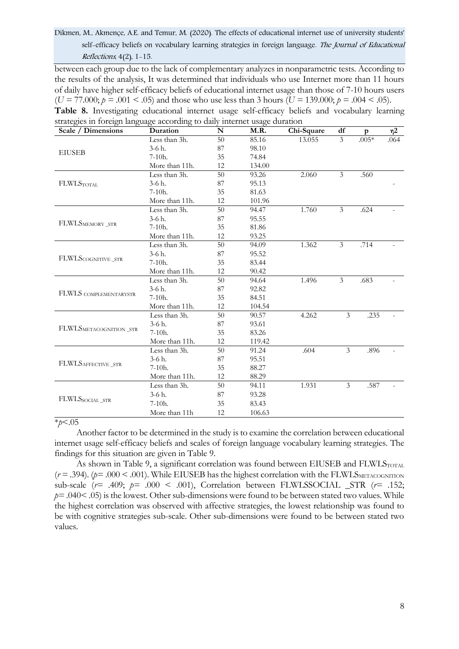between each group due to the lack of complementary analyzes in nonparametric tests. According to the results of the analysis, It was determined that individuals who use Internet more than 11 hours of daily have higher self-efficacy beliefs of educational internet usage than those of 7-10 hours users  $(U = 77.000; p = .001 < .05)$  and those who use less than 3 hours  $(U = 139.000; p = .004 < .05)$ .

| Scale / Dimensions                                                                                                                                                                                                                                              | Duration       | N  | M.R.   | Chi-Square | df                       | p                            | η2   |
|-----------------------------------------------------------------------------------------------------------------------------------------------------------------------------------------------------------------------------------------------------------------|----------------|----|--------|------------|--------------------------|------------------------------|------|
|                                                                                                                                                                                                                                                                 | Less than 3h.  | 50 | 85.16  | 13.055     | $\overline{3}$           | $.005*$                      | .064 |
|                                                                                                                                                                                                                                                                 | 3-6 h.         | 87 | 98.10  |            |                          |                              |      |
|                                                                                                                                                                                                                                                                 | $7-10h.$       | 35 | 74.84  |            |                          |                              |      |
|                                                                                                                                                                                                                                                                 | More than 11h. | 12 | 134.00 |            |                          |                              |      |
|                                                                                                                                                                                                                                                                 | Less than 3h.  | 50 | 93.26  | 2.060      | $\overline{3}$           | .560                         |      |
| <b>FLWLSTOTAL</b>                                                                                                                                                                                                                                               | $3-6 h.$       | 87 | 95.13  |            |                          |                              |      |
|                                                                                                                                                                                                                                                                 | $7-10h.$       | 35 | 81.63  |            |                          |                              |      |
|                                                                                                                                                                                                                                                                 | More than 11h. | 12 | 101.96 |            |                          |                              |      |
|                                                                                                                                                                                                                                                                 | Less than 3h.  | 50 | 94.47  | 1.760      | $\overline{3}$           | .624                         |      |
|                                                                                                                                                                                                                                                                 | $3-6 h.$       | 87 | 95.55  |            |                          |                              |      |
| strategies in foreign language according to dany internet usage duration<br><b>EIUSEB</b><br>FLWLSMEMORY_STR<br>FLWLSCOGNITIVE_STR<br>FLWLS COMPLEMENTARYSTR<br>${\rm FLWLS}_{\rm METACOGNITION\_STR}$<br>FLWLSAFFECTIVE_STR<br>${\rm FLWLS}_{\rm SOCIAL\_STR}$ | 7-10h.         | 35 | 81.86  |            |                          |                              |      |
|                                                                                                                                                                                                                                                                 | More than 11h. | 12 | 93.25  |            |                          |                              |      |
|                                                                                                                                                                                                                                                                 | Less than 3h.  | 50 | 94.09  | 1.362      | 3                        | .714                         |      |
|                                                                                                                                                                                                                                                                 | 3-6 h.         | 87 | 95.52  |            |                          |                              |      |
|                                                                                                                                                                                                                                                                 | $7-10h.$       | 35 | 83.44  |            |                          |                              |      |
|                                                                                                                                                                                                                                                                 | More than 11h. | 12 | 90.42  |            |                          | .683<br>.235<br>.896<br>.587 |      |
|                                                                                                                                                                                                                                                                 | Less than 3h.  | 50 | 94.64  | 1.496      | $\mathfrak{Z}$           |                              |      |
|                                                                                                                                                                                                                                                                 | 3-6 h.         | 87 | 92.82  |            |                          |                              |      |
|                                                                                                                                                                                                                                                                 | $7-10h.$       | 35 | 84.51  |            |                          |                              |      |
|                                                                                                                                                                                                                                                                 | More than 11h. | 12 | 104.54 |            |                          |                              |      |
|                                                                                                                                                                                                                                                                 | Less than 3h.  | 50 | 90.57  | 4.262      | 3                        |                              |      |
|                                                                                                                                                                                                                                                                 | $3-6 h.$       | 87 | 93.61  |            |                          |                              |      |
|                                                                                                                                                                                                                                                                 | $7-10h.$       | 35 | 83.26  |            |                          |                              |      |
|                                                                                                                                                                                                                                                                 | More than 11h. | 12 | 119.42 |            |                          |                              |      |
|                                                                                                                                                                                                                                                                 | Less than 3h.  | 50 | 91.24  | .604       | $\overline{\mathcal{E}}$ |                              |      |
|                                                                                                                                                                                                                                                                 | $3-6h$ .       | 87 | 95.51  |            |                          |                              |      |
|                                                                                                                                                                                                                                                                 | $7-10h.$       | 35 | 88.27  |            |                          |                              |      |
|                                                                                                                                                                                                                                                                 | More than 11h. | 12 | 88.29  |            |                          |                              |      |
|                                                                                                                                                                                                                                                                 | Less than 3h.  | 50 | 94.11  | 1.931      | 3                        |                              |      |
|                                                                                                                                                                                                                                                                 | $3-6 h.$       | 87 | 93.28  |            |                          |                              |      |
|                                                                                                                                                                                                                                                                 | $7-10h.$       | 35 | 83.43  |            |                          |                              |      |
|                                                                                                                                                                                                                                                                 | More than 11h  | 12 | 106.63 |            |                          |                              |      |

### **Table 8.** Investigating educational internet usage self-efficacy beliefs and vocabulary learning strategies in foreign language according to daily internet usage duration

### \**p*<.05

Another factor to be determined in the study is to examine the correlation between educational internet usage self-efficacy beliefs and scales of foreign language vocabulary learning strategies. The findings for this situation are given in Table 9.

As shown in Table 9, a significant correlation was found between EIUSEB and FLWLSTOTAL  $(r = .394)$ . ( $p = .000 < .001$ ). While EIUSEB has the highest correlation with the FLWLS METACOGNITION sub-scale  $(r= .409; p= .000 < .001)$ , Correlation between FLWLSSOCIAL \_STR  $(r= .152;$  $p=0.040<0.05$  is the lowest. Other sub-dimensions were found to be between stated two values. While the highest correlation was observed with affective strategies, the lowest relationship was found to be with cognitive strategies sub-scale. Other sub-dimensions were found to be between stated two values.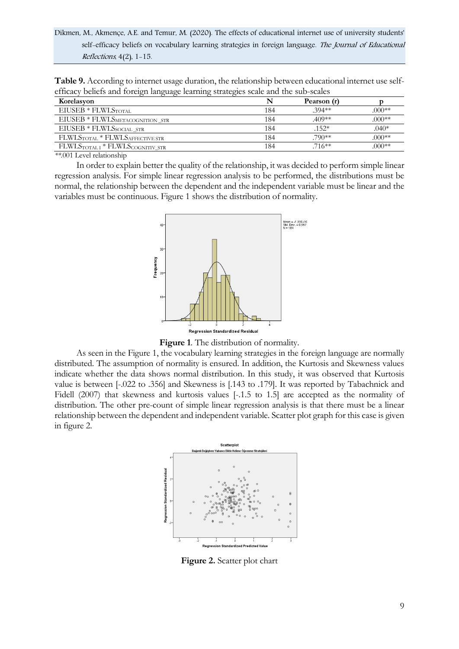Dikmen, M., Akmençe, A.E. and Temur, M. (2020). The effects of educational internet use of university students' self-efficacy beliefs on vocabulary learning strategies in foreign language. The Journal of Educational Reflections, 4(2), 1-15.

**Table 9.** According to internet usage duration, the relationship between educational internet use selfefficacy beliefs and foreign language learning strategies scale and the sub-scales

| Korelasyon                       |     | Pearson (r) |          |
|----------------------------------|-----|-------------|----------|
| EIUSEB * FLWLSTOTAL              | 184 | $.394**$    | $.000**$ |
| EIUSEB * FLWLSMETACOGNITION_STR  | 184 | .409**      | $.000**$ |
| $\rm EIUSEB*FLWLS_{SOCIAL\_STR}$ | 184 | .152*       | $.040*$  |
| FLWLSTOTAL * FLWLSAFFECTIVE STR  | 184 | .790**      | $.000**$ |
| FLWLSTOTALI * FLWLSCOGNITIV STR  | 184 | .716**      | $.000**$ |

*\*\*.*001 Level relationship

In order to explain better the quality of the relationship, it was decided to perform simple linear regression analysis. For simple linear regression analysis to be performed, the distributions must be normal, the relationship between the dependent and the independent variable must be linear and the variables must be continuous. Figure 1 shows the distribution of normality.



**Figure 1**. The distribution of normality.

As seen in the Figure 1, the vocabulary learning strategies in the foreign language are normally distributed. The assumption of normality is ensured. In addition, the Kurtosis and Skewness values indicate whether the data shows normal distribution. In this study, it was observed that Kurtosis value is between [-.022 to .356] and Skewness is [.143 to .179]. It was reported by Tabachnick and Fidell (2007) that skewness and kurtosis values [-.1.5 to 1.5] are accepted as the normality of distribution. The other pre-count of simple linear regression analysis is that there must be a linear relationship between the dependent and independent variable. Scatter plot graph for this case is given in figure 2.



**Figure 2.** Scatter plot chart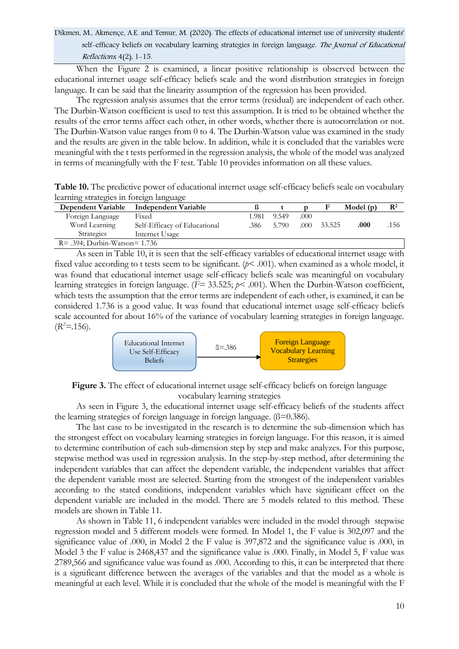Dikmen, M., Akmençe, A.E. and Temur, M. (2020). The effects of educational internet use of university students' self-efficacy beliefs on vocabulary learning strategies in foreign language. The Journal of Educational Reflections, 4(2), 1-15.

When the Figure 2 is examined, a linear positive relationship is observed between the educational internet usage self-efficacy beliefs scale and the word distribution strategies in foreign language. It can be said that the linearity assumption of the regression has been provided.

The regression analysis assumes that the error terms (residual) are independent of each other. The Durbin-Watson coefficient is used to test this assumption. It is tried to be obtained whether the results of the error terms affect each other, in other words, whether there is autocorrelation or not. The Durbin-Watson value ranges from 0 to 4. The Durbin-Watson value was examined in the study and the results are given in the table below. In addition, while it is concluded that the variables were meaningful with the t tests performed in the regression analysis, the whole of the model was analyzed in terms of meaningfully with the F test. Table 10 provides information on all these values.

**Table 10.** The predictive power of educational internet usage self-efficacy beliefs scale on vocabulary learning strategies in foreign language

| Dependent Variable                | Independent Variable         |       |       |       | F      | Model $(p)$ | $\mathbf{R}^2$ |
|-----------------------------------|------------------------------|-------|-------|-------|--------|-------------|----------------|
| Foreign Language                  | Fixed                        | 1.981 | 9.549 | .000  |        |             |                |
| Word Learning                     | Self-Efficacy of Educational | .386  | 5.790 | .000. | 33.525 | .000        | .156           |
| <b>Strategies</b>                 | Internet Usage               |       |       |       |        |             |                |
| $R = .394$ ; Durbin-Watson= 1.736 |                              |       |       |       |        |             |                |

As seen in Table 10, it is seen that the self-efficacy variables of educational internet usage with fixed value according to t tests seem to be significant. (*p*< .001). when examined as a whole model, it was found that educational internet usage self-efficacy beliefs scale was meaningful on vocabulary learning strategies in foreign language. (*F=* 33.525; *p*< .001). When the Durbin-Watson coefficient, which tests the assumption that the error terms are independent of each other, is examined, it can be considered 1.736 is a good value. It was found that educational internet usage self-efficacy beliefs scale accounted for about 16% of the variance of vocabulary learning strategies in foreign language.  $(R^2 = .156)$ .



**Figure 3.** The effect of educational internet usage self-efficacy beliefs on foreign language vocabulary learning strategies

As seen in Figure 3, the educational internet usage self-efficacy beliefs of the students affect the learning strategies of foreign language in foreign language. (ß=0.386).

The last case to be investigated in the research is to determine the sub-dimension which has the strongest effect on vocabulary learning strategies in foreign language. For this reason, it is aimed to determine contribution of each sub-dimension step by step and make analyzes. For this purpose, stepwise method was used in regression analysis. In the step-by-step method, after determining the independent variables that can affect the dependent variable, the independent variables that affect the dependent variable most are selected. Starting from the strongest of the independent variables according to the stated conditions, independent variables which have significant effect on the dependent variable are included in the model. There are 5 models related to this method. These models are shown in Table 11.

As shown in Table 11, 6 independent variables were included in the model through stepwise regression model and 5 different models were formed. In Model 1, the F value is 302,097 and the significance value of .000, in Model 2 the F value is 397,872 and the significance value is .000, in Model 3 the F value is 2468,437 and the significance value is .000. Finally, in Model 5, F value was 2789,566 and significance value was found as .000. According to this, it can be interpreted that there is a significant difference between the averages of the variables and that the model as a whole is meaningful at each level. While it is concluded that the whole of the model is meaningful with the F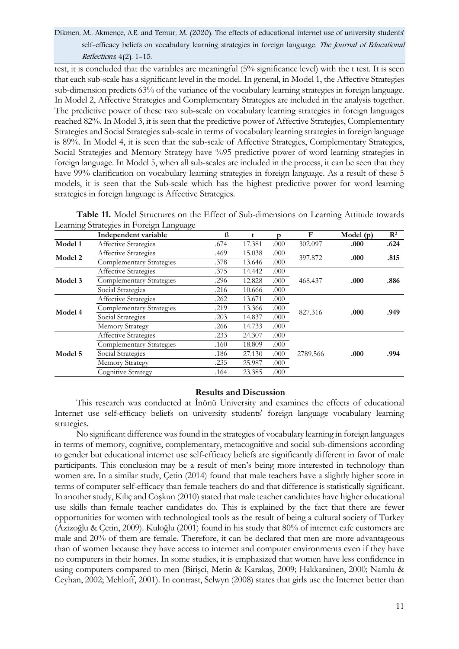test, it is concluded that the variables are meaningful (5% significance level) with the t test. It is seen that each sub-scale has a significant level in the model. In general, in Model 1, the Affective Strategies sub-dimension predicts 63% of the variance of the vocabulary learning strategies in foreign language. In Model 2, Affective Strategies and Complementary Strategies are included in the analysis together. The predictive power of these two sub-scale on vocabulary learning strategies in foreign languages reached 82%. In Model 3, it is seen that the predictive power of Affective Strategies, Complementary Strategies and Social Strategies sub-scale in terms of vocabulary learning strategies in foreign language is 89%. In Model 4, it is seen that the sub-scale of Affective Strategies, Complementary Strategies, Social Strategies and Memory Strategy have %95 predictive power of word learning strategies in foreign language. In Model 5, when all sub-scales are included in the process, it can be seen that they have 99% clarification on vocabulary learning strategies in foreign language. As a result of these 5 models, it is seen that the Sub-scale which has the highest predictive power for word learning strategies in foreign language is Affective Strategies.

| Table 11. Model Structures on the Effect of Sub-dimensions on Learning Attitude towards |  |  |  |
|-----------------------------------------------------------------------------------------|--|--|--|
| Learning Strategies in Foreign Language                                                 |  |  |  |

|         | Independent variable     | ß    | t      | D    | F        | Model $(p)$ | $\mathbf{R}^2$ |
|---------|--------------------------|------|--------|------|----------|-------------|----------------|
| Model 1 | Affective Strategies     | .674 | 17.381 | .000 | 302.097  | .000        | .624           |
| Model 2 | Affective Strategies     | .469 | 15.038 | .000 | 397.872  | .000        | .815           |
|         | Complementary Strategies | .378 | 13.646 | .000 |          |             |                |
| Model 3 | Affective Strategies     | .375 | 14.442 | .000 |          | .000        | .886           |
|         | Complementary Strategies | .296 | 12.828 | .000 | 468.437  |             |                |
|         | Social Strategies        | .216 | 10.666 | .000 |          |             |                |
| Model 4 | Affective Strategies     | .262 | 13.671 | .000 | 827.316  | .000        | .949           |
|         | Complementary Strategies | .219 | 13.366 | .000 |          |             |                |
|         | Social Strategies        | .203 | 14.837 | .000 |          |             |                |
|         | <b>Memory Strategy</b>   | .266 | 14.733 | .000 |          |             |                |
| Model 5 | Affective Strategies     | .233 | 24.307 | .000 |          |             |                |
|         | Complementary Strategies | .160 | 18.809 | .000 |          |             |                |
|         | Social Strategies        | .186 | 27.130 | .000 | 2789.566 | .000        | .994           |
|         | <b>Memory Strategy</b>   | .235 | 25.987 | .000 |          |             |                |
|         | Cognitive Strategy       | .164 | 23.385 | .000 |          |             |                |

### **Results and Discussion**

This research was conducted at İnönü University and examines the effects of educational Internet use self-efficacy beliefs on university students' foreign language vocabulary learning strategies.

No significant difference was found in the strategies of vocabulary learning in foreign languages in terms of memory, cognitive, complementary, metacognitive and social sub-dimensions according to gender but educational internet use self-efficacy beliefs are significantly different in favor of male participants. This conclusion may be a result of men's being more interested in technology than women are. In a similar study, Çetin (2014) found that male teachers have a slightly higher score in terms of computer self-efficacy than female teachers do and that difference is statistically significant. In another study, Kılıç and Coşkun (2010) stated that male teacher candidates have higher educational use skills than female teacher candidates do. This is explained by the fact that there are fewer opportunities for women with technological tools as the result of being a cultural society of Turkey (Azizoğlu & Çetin, 2009). Kuloğlu (2001) found in his study that 80% of internet cafe customers are male and 20% of them are female. Therefore, it can be declared that men are more advantageous than of women because they have access to internet and computer environments even if they have no computers in their homes. In some studies, it is emphasized that women have less confidence in using computers compared to men (Birişci, Metin & Karakaş, 2009; Hakkarainen, 2000; Namlu & Ceyhan, 2002; Mehloff, 2001). In contrast, Selwyn (2008) states that girls use the Internet better than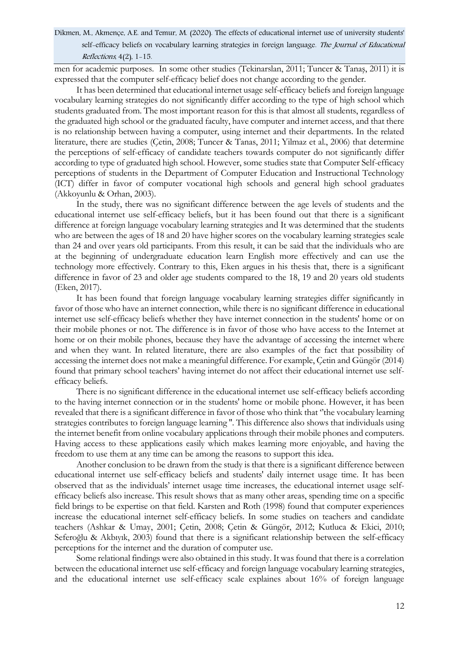men for academic purposes. In some other studies (Tekinarslan, 2011; Tuncer & Tanaş, 2011) it is expressed that the computer self-efficacy belief does not change according to the gender.

It has been determined that educational internet usage self-efficacy beliefs and foreign language vocabulary learning strategies do not significantly differ according to the type of high school which students graduated from. The most important reason for this is that almost all students, regardless of the graduated high school or the graduated faculty, have computer and internet access, and that there is no relationship between having a computer, using internet and their departments. In the related literature, there are studies (Çetin, 2008; Tuncer & Tanas, 2011; Yilmaz et al., 2006) that determine the perceptions of self-efficacy of candidate teachers towards computer do not significantly differ according to type of graduated high school. However, some studies state that Computer Self-efficacy perceptions of students in the Department of Computer Education and Instructional Technology (ICT) differ in favor of computer vocational high schools and general high school graduates (Akkoyunlu & Orhan, 2003).

In the study, there was no significant difference between the age levels of students and the educational internet use self-efficacy beliefs, but it has been found out that there is a significant difference at foreign language vocabulary learning strategies and It was determined that the students who are between the ages of 18 and 20 have higher scores on the vocabulary learning strategies scale than 24 and over years old participants. From this result, it can be said that the individuals who are at the beginning of undergraduate education learn English more effectively and can use the technology more effectively. Contrary to this, Eken argues in his thesis that, there is a significant difference in favor of 23 and older age students compared to the 18, 19 and 20 years old students (Eken, 2017).

It has been found that foreign language vocabulary learning strategies differ significantly in favor of those who have an internet connection, while there is no significant difference in educational internet use self-efficacy beliefs whether they have internet connection in the students' home or on their mobile phones or not. The difference is in favor of those who have access to the Internet at home or on their mobile phones, because they have the advantage of accessing the internet where and when they want. In related literature, there are also examples of the fact that possibility of accessing the internet does not make a meaningful difference. For example, Çetin and Güngör (2014) found that primary school teachers' having internet do not affect their educational internet use selfefficacy beliefs.

There is no significant difference in the educational internet use self-efficacy beliefs according to the having internet connection or in the students' home or mobile phone. However, it has been revealed that there is a significant difference in favor of those who think that ''the vocabulary learning strategies contributes to foreign language learning ''. This difference also shows that individuals using the internet benefit from online vocabulary applications through their mobile phones and computers. Having access to these applications easily which makes learning more enjoyable, and having the freedom to use them at any time can be among the reasons to support this idea.

Another conclusion to be drawn from the study is that there is a significant difference between educational internet use self-efficacy beliefs and students' daily internet usage time. It has been observed that as the individuals' internet usage time increases, the educational internet usage selfefficacy beliefs also increase. This result shows that as many other areas, spending time on a specific field brings to be expertise on that field. Karsten and Roth (1998) found that computer experiences increase the educational internet self-efficacy beliefs. In some studies on teachers and candidate teachers (Ashkar & Umay, 2001; Çetin, 2008; Çetin & Güngör, 2012; Kutluca & Ekici, 2010; Seferoğlu & Akbıyık, 2003) found that there is a significant relationship between the self-efficacy perceptions for the internet and the duration of computer use.

Some relational findings were also obtained in this study. It was found that there is a correlation between the educational internet use self-efficacy and foreign language vocabulary learning strategies, and the educational internet use self-efficacy scale explaines about 16% of foreign language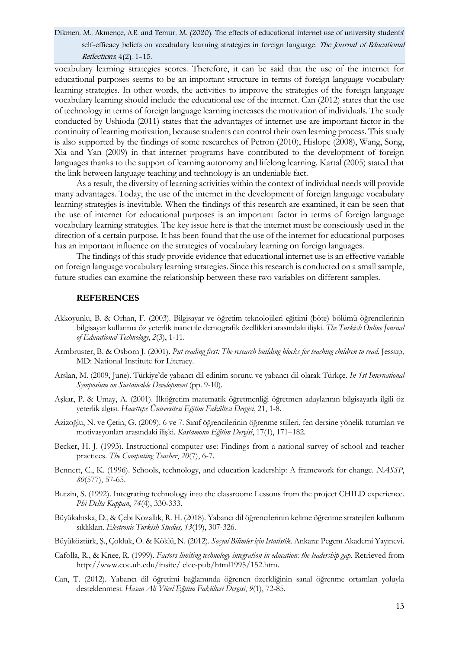vocabulary learning strategies scores. Therefore, it can be said that the use of the internet for educational purposes seems to be an important structure in terms of foreign language vocabulary learning strategies. In other words, the activities to improve the strategies of the foreign language vocabulary learning should include the educational use of the internet. Can (2012) states that the use of technology in terms of foreign language learning increases the motivation of individuals. The study conducted by Ushioda (2011) states that the advantages of internet use are important factor in the continuity of learning motivation, because students can control their own learning process. This study is also supported by the findings of some researches of Petron (2010), Hislope (2008), Wang, Song, Xia and Yan (2009) in that internet programs have contributed to the development of foreign languages thanks to the support of learning autonomy and lifelong learning. Kartal (2005) stated that the link between language teaching and technology is an undeniable fact.

As a result, the diversity of learning activities within the context of individual needs will provide many advantages. Today, the use of the internet in the development of foreign language vocabulary learning strategies is inevitable. When the findings of this research are examined, it can be seen that the use of internet for educational purposes is an important factor in terms of foreign language vocabulary learning strategies. The key issue here is that the internet must be consciously used in the direction of a certain purpose. It has been found that the use of the internet for educational purposes has an important influence on the strategies of vocabulary learning on foreign languages.

The findings of this study provide evidence that educational internet use is an effective variable on foreign language vocabulary learning strategies. Since this research is conducted on a small sample, future studies can examine the relationship between these two variables on different samples.

#### **REFERENCES**

- Akkoyunlu, B. & Orhan, F. (2003). Bilgisayar ve öğretim teknolojileri eğitimi (böte) bölümü öğrencilerinin bilgisayar kullanma öz yeterlik inancı ile demografik özellikleri arasındaki ilişki. *The Turkish Online Journal of Educational Technology*, *2*(3), 1-11.
- Armbruster, B. & Osborn J. (2001). *Put reading first: The research building blocks for teaching children to read.* Jessup, MD: National Institute for Literacy.
- Arslan, M. (2009, June). Türkiye'de yabancı dil edinim sorunu ve yabancı dil olarak Türkçe. *In 1st International Symposium on Sustainable Development* (pp. 9-10).
- Aşkar, P. & Umay, A. (2001). İlköğretim matematik öğretmenliği öğretmen adaylarının bilgisayarla ilgili öz yeterlik algısı. *Hacettepe Üniversitesi Eğitim Fakültesi Dergisi*, 21, 1-8.
- Azizoğlu, N. ve Çetin, G. (2009). 6 ve 7. Sınıf öğrencilerinin öğrenme stilleri, fen dersine yönelik tutumları ve motivasyonları arasındaki ilişki. *Kastamonu Eğitim Dergisi*, 17(1), 171–182.
- Becker, H. J. (1993). Instructional computer use: Findings from a national survey of school and teacher practices. *The Computing Teacher*, *20*(7), 6-7.
- Bennett, C., K. (1996). Schools, technology, and education leadership: A framework for change. *NASSP*, *80*(577), 57-65.
- Butzin, S. (1992). Integrating technology into the classroom: Lessons from the project CHILD experience. *Phi Delta Kappan*, *74*(4), 330-333.
- Büyükahıska, D., & Çebi Kozallık, R. H. (2018). Yabancı dil öğrencilerinin kelime öğrenme stratejileri kullanım sıklıkları. *Electronic Turkish Studies, 13*(19), 307-326.
- Büyüköztürk, Ş., Çokluk, Ö. & Köklü, N. (2012). *Sosyal Bilimler için İstatistik*. Ankara: Pegem Akademi Yayınevi.
- Cafolla, R., & Knee, R. (1999). *Factors limiting technology integration in education: the leadership gap.* Retrieved from http://www.coe.uh.edu/insite/ elec-pub/html1995/152.htm.
- Can, T. (2012). Yabancı dil öğretimi bağlamında öğrenen özerkliğinin sanal öğrenme ortamları yoluyla desteklenmesi. *Hasan Ali Yücel Eğitim Fakültesi Dergisi*, *9*(1), 72-85.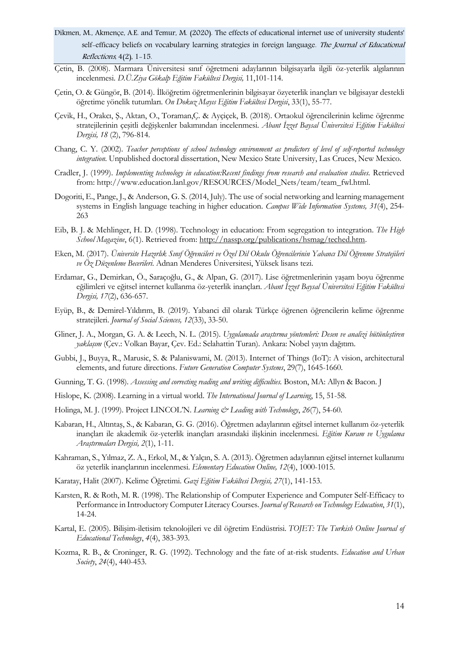- Dikmen, M., Akmençe, A.E. and Temur, M. (2020). The effects of educational internet use of university students' self-efficacy beliefs on vocabulary learning strategies in foreign language. The Journal of Educational Reflections, 4(2), 1-15.
- Çetin, B. (2008). Marmara Üniversitesi sınıf öğretmeni adaylarının bilgisayarla ilgili öz-yeterlik algılarının incelenmesi. *D.Ü.Ziya Gökalp Eğitim Fakültesi Dergisi,* 11,101-114.
- Çetin, O. & Güngör, B. (2014). İlköğretim öğretmenlerinin bilgisayar özyeterlik inançları ve bilgisayar destekli öğretime yönelik tutumları. *On Dokuz Mayıs Eğitim Fakültesi Dergisi*, 33(1), 55-77.
- Çevik, H., Orakcı, Ş., Aktan, O., Toraman,Ç. & Ayçiçek, B. (2018). Ortaokul öğrencilerinin kelime öğrenme stratejilerinin çeşitli değişkenler bakımından incelenmesi. *Abant İzzet Baysal Üniversitesi Eğitim Fakültesi Dergisi, 18* (2), 796-814.
- Chang, C. Y. (2002). *Teacher perceptions of school technology environment as predictors of level of self-reported technology integration*. Unpublished doctoral dissertation, New Mexico State University, Las Cruces, New Mexico.
- Cradler, J. (1999). *Implementing technology in education:Recent findings from research and evaluation studies.* Retrieved from: http://www.education.lanl.gov/RESOURCES/Model\_Nets/team/team\_fwl.html.
- Dogoriti, E., Pange, J., & Anderson, G. S. (2014, July). The use of social networking and learning management systems in English language teaching in higher education. *Campus Wide Information Systems, 31*(4), 254- 263
- Eib, B. J. & Mehlinger, H. D. (1998). Technology in education: From segregation to integration. *The High School Magazine*, 6(1). Retrieved from[: http://nassp.org/publications/hsmag/teched.htm.](http://nassp.org/publications/hsmag/teched.htm)
- Eken, M. (2017). *Üniversite Hazırlık Sınıf Öğrencileri ve Özel Dil Okulu Öğrencilerinin Yabancı Dil Öğrenme Stratejileri ve Öz Düzenleme Becerileri*. Adnan Menderes Üniversitesi, Yüksek lisans tezi.
- Erdamar, G., Demirkan, Ö., Saraçoğlu, G., & Alpan, G. (2017). Lise öğretmenlerinin yaşam boyu öğrenme eğilimleri ve eğitsel internet kullanma öz-yeterlik inançları. *Abant İzzet Baysal Üniversitesi Eğitim Fakültesi Dergisi, 17*(2), 636-657.
- Eyüp, B., & Demirel-Yıldırım, B. (2019). Yabanci dil olarak Türkçe öğrenen öğrencilerin kelime öğrenme stratejileri. *Journal of Social Sciences, 12*(33), 33-50.
- Gliner, J. A., Morgan, G. A. & Leech, N. L. (2015). *Uygulamada araştırma yöntemleri: Desen ve analizi bütünleştiren yaklaşım* (Çev.: Volkan Bayar, Çev. Ed.: Selahattin Turan). Ankara: Nobel yayın dağıtım.
- Gubbi, J., Buyya, R., Marusic, S. & Palaniswami, M. (2013). Internet of Things (IoT): A vision, architectural elements, and future directions. *Future Generation Computer Systems*, 29(7), 1645-1660.
- Gunning, T. G. (1998). *Assessing and correcting reading and writing difficulties.* Boston, MA: Allyn & Bacon. J
- Hislope, K. (2008). Learning in a virtual world. *The International Journal of Learning*, 15, 51-58.
- Holinga, M. J. (1999). Project LINCOL'N. *Learning & Leading with Technology*, 26(7), 54-60.
- Kabaran, H., Altıntaş, S., & Kabaran, G. G. (2016). Öğretmen adaylarının eğitsel internet kullanım öz-yeterlik inançları ile akademik öz-yeterlik inançları arasındaki ilişkinin incelenmesi. *Eğitim Kuram ve Uygulama Araştırmaları Dergisi, 2*(1), 1-11.
- Kahraman, S., Yılmaz, Z. A., Erkol, M., & Yalçın, S. A. (2013). Öğretmen adaylarının eğitsel internet kullanımı öz yeterlik inançlarının incelenmesi. *Elementary Education Online, 12*(4), 1000-1015.
- Karatay, Halit (2007). Kelime Öğretimi. *Gazi Eğitim Fakültesi Dergisi, 27*(1), 141-153.
- Karsten, R. & Roth, M. R. (1998). The Relationship of Computer Experience and Computer Self-Efficacy to Performance in Introductory Computer Literacy Courses. *Journal of Research on Technology Education*, *31*(1), 14-24.
- Kartal, E. (2005). Bilişim-iletisim teknolojileri ve dil öğretim Endüstrisi. *TOJET: The Turkish Online Journal of Educational Technology*, *4*(4), 383-393.
- Kozma, R. B., & Croninger, R. G. (1992). Technology and the fate of at-risk students. *Education and Urban Society*, *24*(4), 440-453.